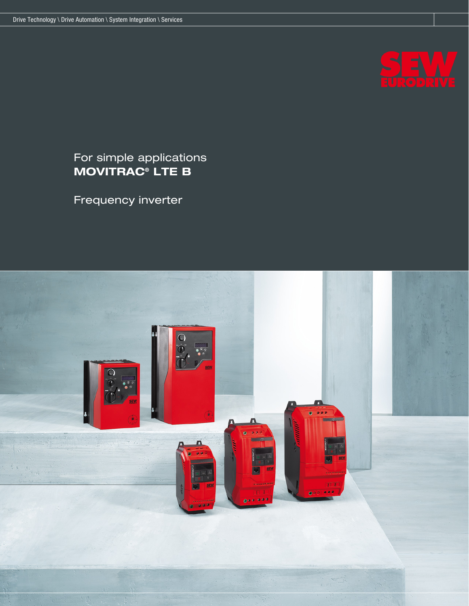

# For simple applications MOVITRAC® LTE B

Frequency inverter

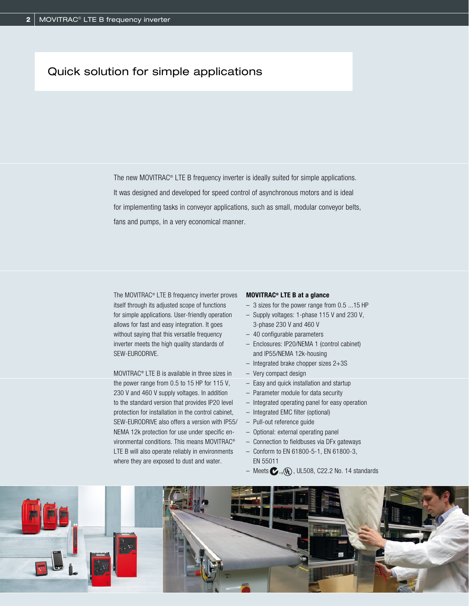## Quick solution for simple applications

The new MOVITRAC® LTE B frequency inverter is ideally suited for simple applications. It was designed and developed for speed control of asynchronous motors and is ideal for implementing tasks in conveyor applications, such as small, modular conveyor belts, fans and pumps, in a very economical manner.

The MOVITRAC® LTE B frequency inverter proves itself through its adjusted scope of functions for simple applications. User-friendly operation allows for fast and easy integration. It goes without saying that this versatile frequency inverter meets the high quality standards of SEW-EURODRIVE.

MOVITRAC® LTE B is available in three sizes in the power range from 0.5 to 15 HP for 115 V, 230 V and 460 V supply voltages. In addition to the standard version that provides IP20 level protection for installation in the control cabinet, SEW-EURODRIVE also offers a version with IP55/ NEMA 12k protection for use under specific environmental conditions. This means MOVITRAC® LTE B will also operate reliably in environments where they are exposed to dust and water.

### MOVITRAC® LTE B at a glance

- 3 sizes for the power range from 0.5 ...15 HP
- Supply voltages: 1-phase 115 V and 230 V, 3-phase 230 V and 460 V
- 40 configurable parameters
- Enclosures: IP20/NEMA 1 (control cabinet) and IP55/NEMA 12k-housing
- Integrated brake chopper sizes 2+3S
- Very compact design
- Easy and quick installation and startup
- Parameter module for data security
- Integrated operating panel for easy operation
- Integrated EMC filter (optional)
- Pull-out reference guide
- Optional: external operating panel
- Connection to fieldbuses via DFx gateways
- Conform to EN 61800-5-1, EN 61800-3, EN 55011
- Meets  $\bullet$ ,  $\mathcal{Q}$ , UL508, C22.2 No. 14 standards

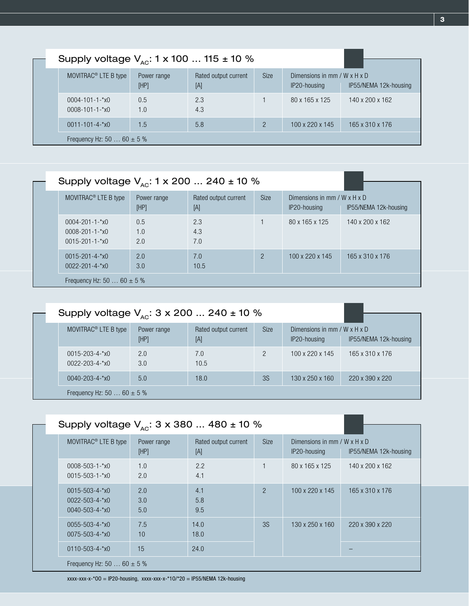| Supply voltage $V_{AC}$ : 1 x 100  115 ± 10 %  |                     |                             |             |                                                          |                       |
|------------------------------------------------|---------------------|-----------------------------|-------------|----------------------------------------------------------|-----------------------|
| MOVITRAC <sup>®</sup> LTE B type               | Power range<br>[HP] | Rated output current<br>[A] | <b>Size</b> | Dimensions in mm / $W \times H \times D$<br>IP20-housing | IP55/NEMA 12k-housing |
| $0004 - 101 - 1 - x0$<br>$0008 - 101 - 1 - x0$ | 0.5<br>1.0          | 2.3<br>4.3                  |             | 80 x 165 x 125                                           | 140 x 200 x 162       |
| $0011 - 101 - 4 - x0$                          | 1.5                 | 5.8                         |             | $100 \times 220 \times 145$                              | 165 x 310 x 176       |
| Frequency Hz: 50 $60 \pm 5$ %                  |                     |                             |             |                                                          |                       |

| Supply voltage $V_{\text{av}}$ : 1 x 200  240 ± 10 % |                         |                             |             |                                              |                      |  |  |
|------------------------------------------------------|-------------------------|-----------------------------|-------------|----------------------------------------------|----------------------|--|--|
| MOVITRAC <sup>®</sup> LTE B type                     | Power range<br>[HP]     | Rated output current<br>[A] | <b>Size</b> | Dimensions in mm / W x H x D<br>IP20-housing | IP <sub>55</sub> /NE |  |  |
| $0004 - 201 - 1 - x0$                                | $0.5^{\circ}$<br>$\sim$ | 2.3<br>$\sim$               |             | 80 x 165 x 125                               | $140 \times 2$       |  |  |

| $0008 - 201 - 1 - x0$<br>$0015 - 201 - 1 - x0$ | 1.0<br>2.0 | 4.3<br>7.0  |   |                 |                 |  |
|------------------------------------------------|------------|-------------|---|-----------------|-----------------|--|
| $0015 - 201 - 4 - x0$<br>$0022 - 201 - 4 - x0$ | 2.0<br>3.0 | 7.0<br>10.5 | 2 | 100 x 220 x 145 | 165 x 310 x 176 |  |
| Frequency Hz: 50  60 $\pm$ 5 %                 |            |             |   |                 |                 |  |

| Supply voltage $V_{AC}$ : 3 x 200  240 ± 10 %  |                     |                             |               |                                                          |                             |
|------------------------------------------------|---------------------|-----------------------------|---------------|----------------------------------------------------------|-----------------------------|
| MOVITRAC <sup>®</sup> LTE B type               | Power range<br>[HP] | Rated output current<br>[A] | <b>Size</b>   | Dimensions in mm / $W \times H \times D$<br>IP20-housing | IP55/NEMA 12k-housing       |
| $0015 - 203 - 4 - x0$<br>$0022 - 203 - 4 - x0$ | 2.0<br>3.0          | 7.0<br>10.5                 | $\mathcal{P}$ | $100 \times 220 \times 145$                              | 165 x 310 x 176             |
| $0040 - 203 - 4 - x0$                          | 5.0                 | 18.0                        | 3S            | $130 \times 250 \times 160$                              | $220 \times 390 \times 220$ |
| Frequency Hz: 50 $60 \pm 5$ %                  |                     |                             |               |                                                          |                             |

|                                | Supply voltage $V_{AC}$ : 3 x 380  480 ± 10 %                           |                     |                             |               |                                                            |                       |
|--------------------------------|-------------------------------------------------------------------------|---------------------|-----------------------------|---------------|------------------------------------------------------------|-----------------------|
|                                |                                                                         |                     |                             |               |                                                            |                       |
|                                | MOVITRAC <sup>®</sup> LTE B type                                        | Power range<br>[HP] | Rated output current<br>[A] | <b>Size</b>   | Dimensions in mm / W $\times$ H $\times$ D<br>IP20-housing | IP55/NEMA 12k-housing |
|                                | $0008 - 503 - 1 - x0$<br>$0015 - 503 - 1 - x0$                          | 1.0<br>2.0          | 2.2<br>4.1                  |               | 80 x 165 x 125                                             | 140 x 200 x 162       |
|                                | $0015 - 503 - 4 - x0$<br>$0022 - 503 - 4 - x0$<br>$0040 - 503 - 4 - x0$ | 2.0<br>3.0<br>5.0   | 4.1<br>5.8<br>9.5           | $\mathcal{P}$ | 100 x 220 x 145                                            | 165 x 310 x 176       |
|                                | $0055 - 503 - 4 - x0$<br>$0075 - 503 - 4 - x0$                          | 7.5<br>10           | 14.0<br>18.0                | 3S            | $130 \times 250 \times 160$                                | 220 x 390 x 220       |
|                                | $0110 - 503 - 4 - x0$                                                   | 15                  | 24.0                        |               |                                                            |                       |
| Frequency Hz: 50  60 $\pm$ 5 % |                                                                         |                     |                             |               |                                                            |                       |

xxxx-xxx-x-\*00 = IP20-housing, xxxx-xxx-x-\*10/\*20 = IP55/NEMA 12k-housing

IP55/NEMA 12k-housing

140 x 200 x 162